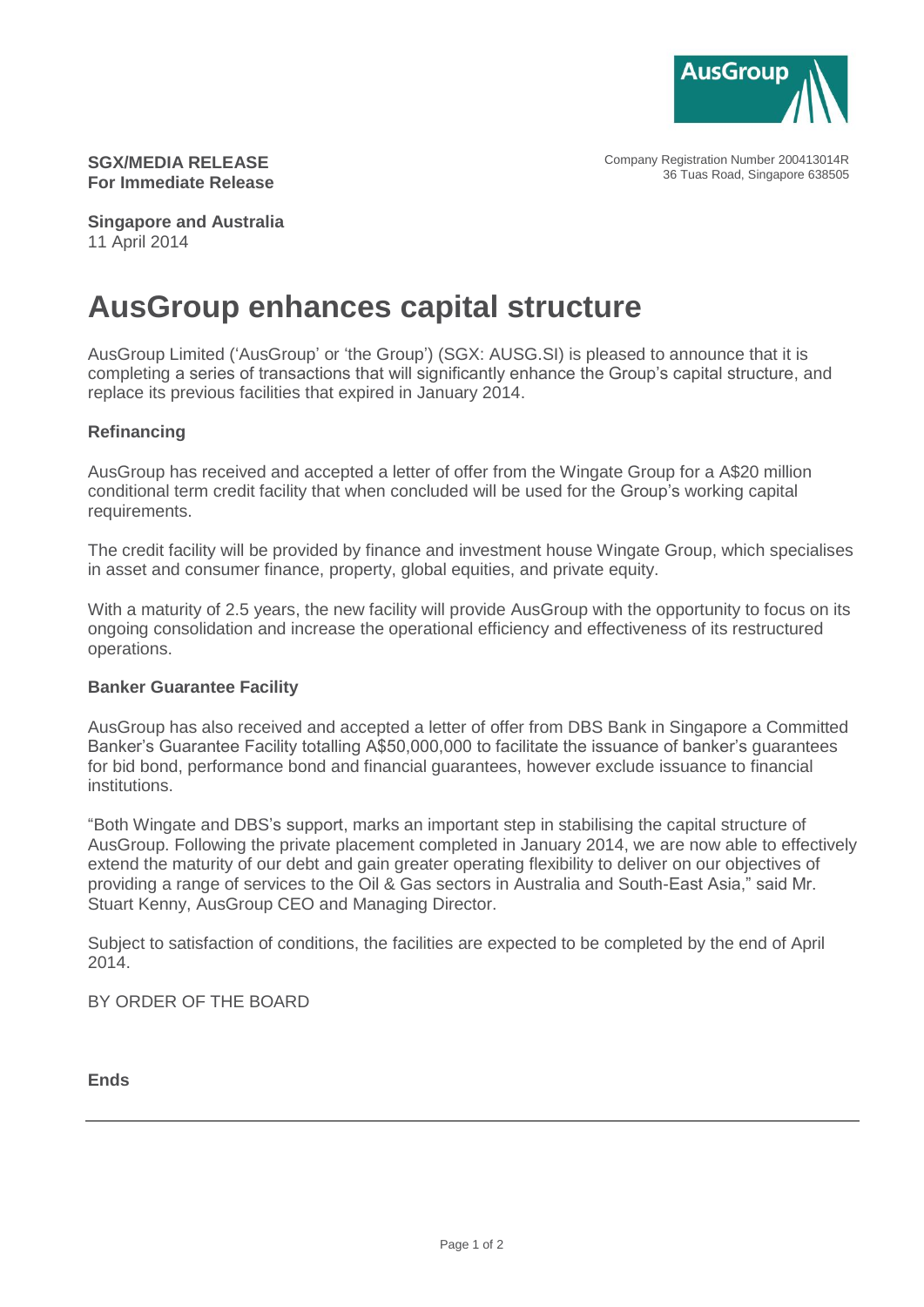

Company Registration Number 200413014R 36 Tuas Road, Singapore 638505

## **SGX/MEDIA RELEASE For Immediate Release**

**Singapore and Australia** 11 April 2014

# **AusGroup enhances capital structure**

AusGroup Limited ('AusGroup' or 'the Group') (SGX: AUSG.SI) is pleased to announce that it is completing a series of transactions that will significantly enhance the Group's capital structure, and replace its previous facilities that expired in January 2014.

### **Refinancing**

AusGroup has received and accepted a letter of offer from the Wingate Group for a A\$20 million conditional term credit facility that when concluded will be used for the Group's working capital requirements.

The credit facility will be provided by finance and investment house Wingate Group, which specialises in asset and consumer finance, property, global equities, and private equity.

With a maturity of 2.5 years, the new facility will provide AusGroup with the opportunity to focus on its ongoing consolidation and increase the operational efficiency and effectiveness of its restructured operations.

### **Banker Guarantee Facility**

AusGroup has also received and accepted a letter of offer from DBS Bank in Singapore a Committed Banker's Guarantee Facility totalling A\$50,000,000 to facilitate the issuance of banker's guarantees for bid bond, performance bond and financial guarantees, however exclude issuance to financial institutions.

"Both Wingate and DBS's support, marks an important step in stabilising the capital structure of AusGroup. Following the private placement completed in January 2014, we are now able to effectively extend the maturity of our debt and gain greater operating flexibility to deliver on our objectives of providing a range of services to the Oil & Gas sectors in Australia and South-East Asia," said Mr. Stuart Kenny, AusGroup CEO and Managing Director.

Subject to satisfaction of conditions, the facilities are expected to be completed by the end of April 2014.

BY ORDER OF THE BOARD

**Ends**